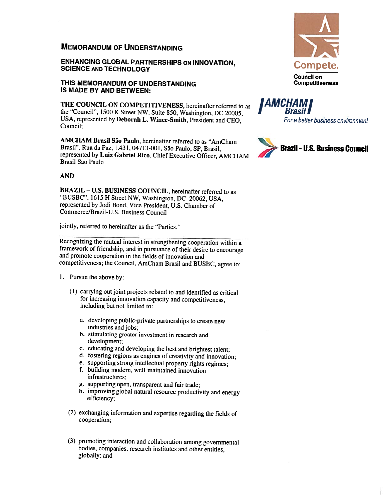## MEMORANDUM OF UNDERSTANDING

ENHANCING GLOBAL PARTNERSHIPS ON INNOVATION, SCIENCE AND TECHNOLOGY

## THIS MEMORANDUM OF UNDERSTANDING IS MADE BY AND BETWEEN:

THE COUNCIL ON COMPETITIVENESS, hereinafter referred to as the "Council", <sup>1500</sup> <sup>K</sup> Street NW. Suite 850, Washington, DC 20005, USA, represented by Deborah L. Wince-Smith, President and CEO. Council;

AMCHAM Brasil São Paulo, hereinafter referred to as "AmCham Brasil", Rua da Paz, 1.431, 04713—001, São Paulo, SP, Biasil. represented hy Luiz Gabriel Rico, Chief Executive Officer, AMCHAM Brasil São Paulo

## AND

BRAZIL — U.S. BUSINESS COUNCIL, hereinafter referred to as "BUSBC", <sup>1615</sup> <sup>H</sup> Street NW, Washington, DC 20062, USA, represented by Jodi Bond, Vice President, U.S. Chamber of Commerce/Brazil-U.S. Business Council

jointly, referred to hereinafter as the "Parties.''

Recognizing the mutual interest in strengthening cooperation within <sup>a</sup> framework of friendship, and in pursuance of their desire to encourage and promote cooperation in the fields of innovation and competitiveness; the Council, AmCham Brasil and BUSBC, agree to:

- I. Pursue the above by:
	- (I) carrying out joint projects related to and identified as critical for increasing innovation capacity and competitiveness, including but not limited to:
		- a. developing public-private partnerships to create new industries and jobs;
		- b. stimulating greater investment in research and development;
		- c. educating and developing the best and brightest talent;
		- d. fostering regions as engines of creativity and innovation;
		- e. supporting strong intellectual property rights regimes;
		- f. building modern, well-maintained innovation infrastructures:
		- g. supporting open, transparent and fair trade;
		- h. improving <sup>g</sup>lobal natural resource productivity and energy efficiency;
	- (2) exchanging information and expertise regarding the fields of cooperation;
	- (3) promoting interaction and collaboration among governmental bodies, companies, research institutes and other entities, globally; and



IAMCHAMI I Brasill For <sup>a</sup> better business environment

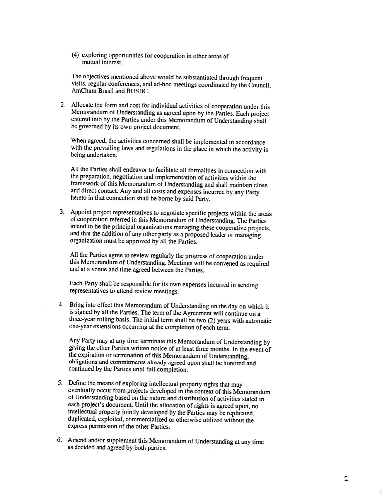(4) exploring opportunities for cooperation in other areas of mutual interest.

The objectives mentioned above would be substantiated through frequent visits, regular conferences, and ad-hoc meetings coordinated by the Council, AmCham Brasil and BUSBC.

2. Allocate the form and cost for individual activities of cooperation under this Memorandum of Understanding as agreed upon by the Parties. Each project entered into by the Parties under this Memorandum of Understanding shall be governed by its own project document.

When agreed, the activities concerned shall be implemented in accordance with the prevailing laws and regulations in the place in which the activity is being undertaken.

All the Parties shall endeavor to facilitate all formalities in connection with the preparation, negotiation and implementation of activities within the framework of this Memorandum of Understanding and shall maintain close and direct contact. Any and all costs and expenses incurred by any Party hereto in that connection shall he borne by said Party.

3. Appoint project representatives to negotiate specific projects within the areas of cooperation referred in this Memorandum of Understanding. The Parties intend to be the principal organizations managing these cooperativ

All the Parties agree to review regularly the progress of cooperation under this Memorandum of Understanding. Meetings will he convened as required and at <sup>a</sup> venue and time agreed between the Parties.

Each Party shall be responsible for its own expenses incurred in sending representatives to attend review meetings.

4. Bring into effect this Memorandum of Understanding on the day on which it is signed by all the Parties. The term of the Agreement will continue on <sup>a</sup> three-year rolling basis. The initial term shall be two (2) years with automatic one-year extensions occurring at the completion of each term.

Any Party may at any time terminate this Memorandum of Understanding by giving the other Parties written notice of at least three months. In the event of the expiration or termination of this Memorandum of Understanding, obligations and commitments already agreed upon shall be honored and continued by the Parties until full completion.

- 5. Define the means of exploring intellectual property rights that may eventually occur from projects developed in the context of this Memorandum of Understanding based on the nature and distribution of activities stated in intellectual property jointly developed by the Parties may be replicated, duplicated, exploited, commercialized or otherwise utilized without the express permission of the other Parties.
- 6. Amend and/or supplement this Memorandum of Understanding at any time as decided and agreed by both parties.